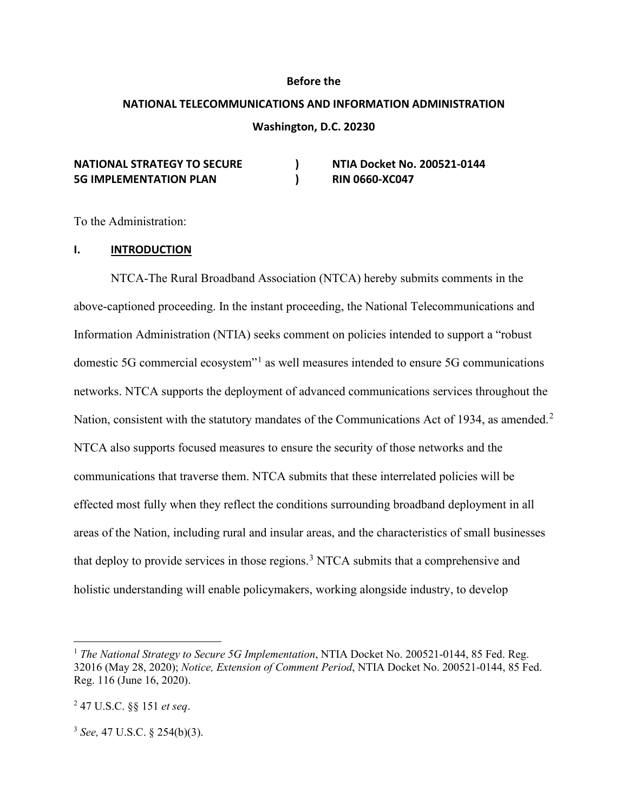#### **Before the**

# **NATIONAL TELECOMMUNICATIONS AND INFORMATION ADMINISTRATION Washington, D.C. 20230**

| <b>NATIONAL STRATEGY TO SECURE</b> | NTIA Docket No. 200521-0144 |
|------------------------------------|-----------------------------|
| <b>5G IMPLEMENTATION PLAN</b>      | <b>RIN 0660-XC047</b>       |

To the Administration:

#### **I. INTRODUCTION**

NTCA-The Rural Broadband Association (NTCA) hereby submits comments in the above-captioned proceeding. In the instant proceeding, the National Telecommunications and Information Administration (NTIA) seeks comment on policies intended to support a "robust domestic 5G commercial ecosystem<sup>"[1](#page-0-0)</sup> as well measures intended to ensure 5G communications networks. NTCA supports the deployment of advanced communications services throughout the Nation, consistent with the statutory mandates of the Communications Act of 1934, as amended.<sup>[2](#page-0-1)</sup> NTCA also supports focused measures to ensure the security of those networks and the communications that traverse them. NTCA submits that these interrelated policies will be effected most fully when they reflect the conditions surrounding broadband deployment in all areas of the Nation, including rural and insular areas, and the characteristics of small businesses that deploy to provide services in those regions.<sup>[3](#page-0-2)</sup> NTCA submits that a comprehensive and holistic understanding will enable policymakers, working alongside industry, to develop

<span id="page-0-0"></span><sup>&</sup>lt;sup>1</sup> *The National Strategy to Secure 5G Implementation*, NTIA Docket No. 200521-0144, 85 Fed. Reg. 32016 (May 28, 2020); *Notice, Extension of Comment Period*, NTIA Docket No. 200521-0144, 85 Fed. Reg. 116 (June 16, 2020).

<span id="page-0-1"></span><sup>2</sup> 47 U.S.C. §§ 151 *et seq*.

<span id="page-0-2"></span><sup>3</sup> *See,* 47 U.S.C. § 254(b)(3).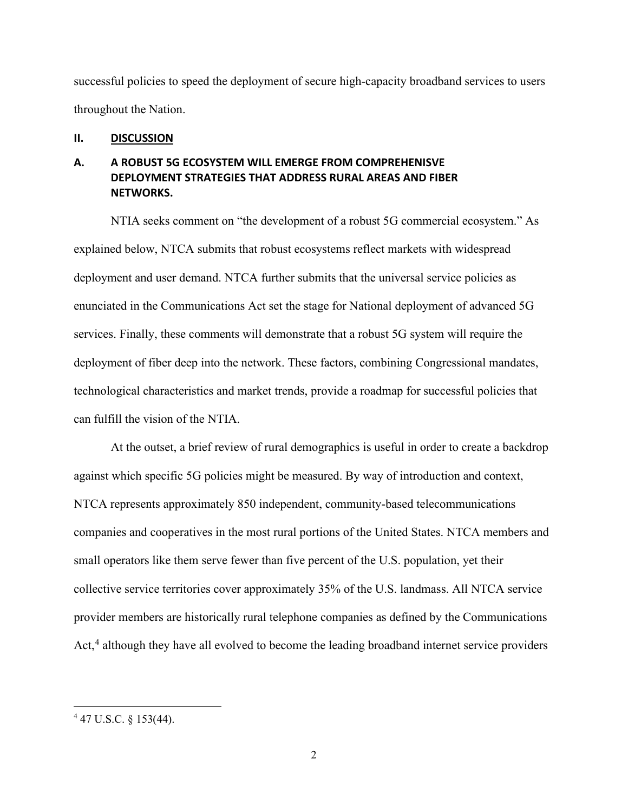successful policies to speed the deployment of secure high-capacity broadband services to users throughout the Nation.

#### **II. DISCUSSION**

## **A. A ROBUST 5G ECOSYSTEM WILL EMERGE FROM COMPREHENISVE DEPLOYMENT STRATEGIES THAT ADDRESS RURAL AREAS AND FIBER NETWORKS.**

NTIA seeks comment on "the development of a robust 5G commercial ecosystem." As explained below, NTCA submits that robust ecosystems reflect markets with widespread deployment and user demand. NTCA further submits that the universal service policies as enunciated in the Communications Act set the stage for National deployment of advanced 5G services. Finally, these comments will demonstrate that a robust 5G system will require the deployment of fiber deep into the network. These factors, combining Congressional mandates, technological characteristics and market trends, provide a roadmap for successful policies that can fulfill the vision of the NTIA.

At the outset, a brief review of rural demographics is useful in order to create a backdrop against which specific 5G policies might be measured. By way of introduction and context, NTCA represents approximately 850 independent, community-based telecommunications companies and cooperatives in the most rural portions of the United States. NTCA members and small operators like them serve fewer than five percent of the U.S. population, yet their collective service territories cover approximately 35% of the U.S. landmass. All NTCA service provider members are historically rural telephone companies as defined by the Communications Act, $4$  although they have all evolved to become the leading broadband internet service providers

<span id="page-1-0"></span><sup>4</sup> 47 U.S.C. § 153(44).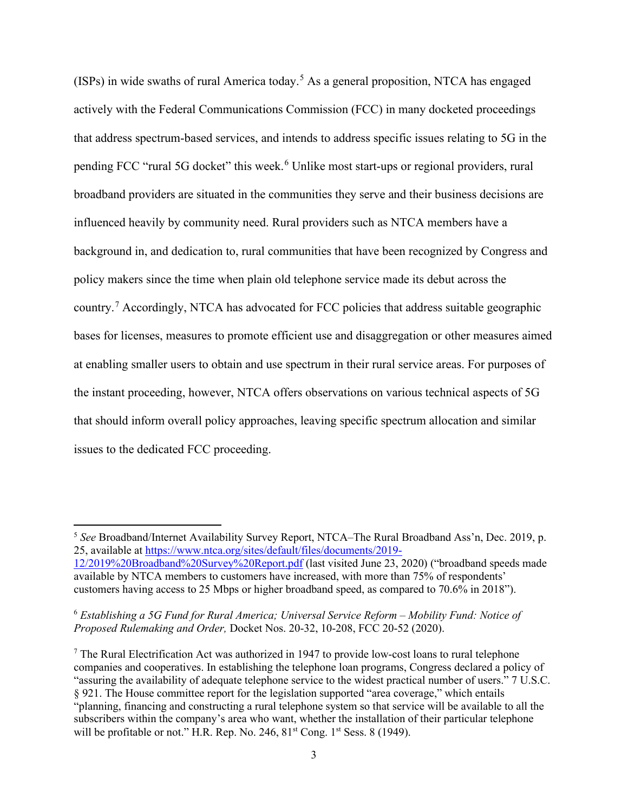(ISPs) in wide swaths of rural America today.[5](#page-2-0) As a general proposition, NTCA has engaged actively with the Federal Communications Commission (FCC) in many docketed proceedings that address spectrum-based services, and intends to address specific issues relating to 5G in the pending FCC "rural 5G docket" this week.<sup>[6](#page-2-1)</sup> Unlike most start-ups or regional providers, rural broadband providers are situated in the communities they serve and their business decisions are influenced heavily by community need. Rural providers such as NTCA members have a background in, and dedication to, rural communities that have been recognized by Congress and policy makers since the time when plain old telephone service made its debut across the country.[7](#page-2-2) Accordingly, NTCA has advocated for FCC policies that address suitable geographic bases for licenses, measures to promote efficient use and disaggregation or other measures aimed at enabling smaller users to obtain and use spectrum in their rural service areas. For purposes of the instant proceeding, however, NTCA offers observations on various technical aspects of 5G that should inform overall policy approaches, leaving specific spectrum allocation and similar issues to the dedicated FCC proceeding.

<span id="page-2-0"></span><sup>5</sup> *See* Broadband/Internet Availability Survey Report, NTCA–The Rural Broadband Ass'n, Dec. 2019, p. 25, available at [https://www.ntca.org/sites/default/files/documents/2019-](https://www.ntca.org/sites/default/files/documents/2019-12/2019%20Broadband%20Survey%20Report.pdf)

[<sup>12/2019%20</sup>Broadband%20Survey%20Report.pdf](https://www.ntca.org/sites/default/files/documents/2019-12/2019%20Broadband%20Survey%20Report.pdf) (last visited June 23, 2020) ("broadband speeds made available by NTCA members to customers have increased, with more than 75% of respondents' customers having access to 25 Mbps or higher broadband speed, as compared to 70.6% in 2018").

<span id="page-2-1"></span><sup>6</sup> *Establishing a 5G Fund for Rural America; Universal Service Reform – Mobility Fund: Notice of Proposed Rulemaking and Order,* Docket Nos. 20-32, 10-208, FCC 20-52 (2020).

<span id="page-2-2"></span><sup>&</sup>lt;sup>7</sup> The Rural Electrification Act was authorized in 1947 to provide low-cost loans to rural telephone companies and cooperatives. In establishing the telephone loan programs, Congress declared a policy of "assuring the availability of adequate telephone service to the widest practical number of users." 7 U.S.C. § 921. The House committee report for the legislation supported "area coverage," which entails "planning, financing and constructing a rural telephone system so that service will be available to all the subscribers within the company's area who want, whether the installation of their particular telephone will be profitable or not." H.R. Rep. No. 246, 81<sup>st</sup> Cong. 1<sup>st</sup> Sess. 8 (1949).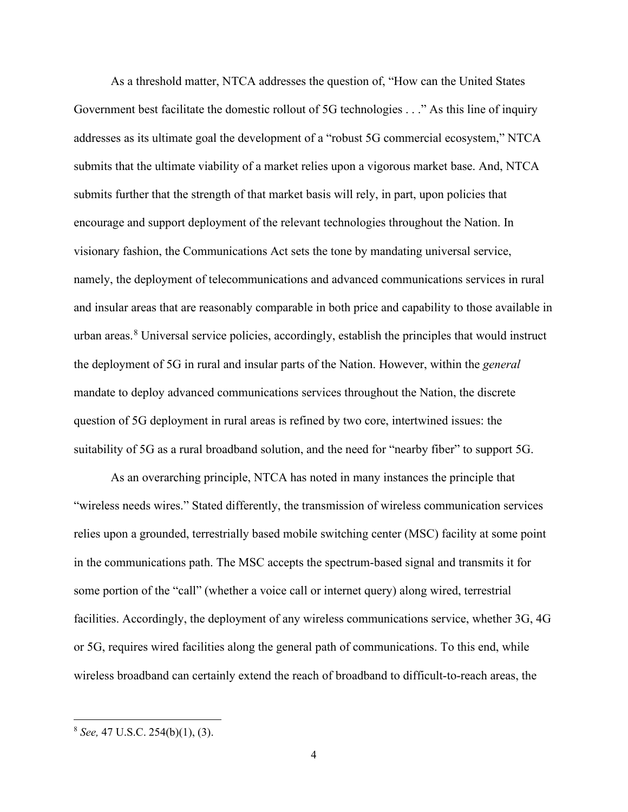As a threshold matter, NTCA addresses the question of, "How can the United States Government best facilitate the domestic rollout of 5G technologies . . ." As this line of inquiry addresses as its ultimate goal the development of a "robust 5G commercial ecosystem," NTCA submits that the ultimate viability of a market relies upon a vigorous market base. And, NTCA submits further that the strength of that market basis will rely, in part, upon policies that encourage and support deployment of the relevant technologies throughout the Nation. In visionary fashion, the Communications Act sets the tone by mandating universal service, namely, the deployment of telecommunications and advanced communications services in rural and insular areas that are reasonably comparable in both price and capability to those available in urban areas.<sup>[8](#page-3-0)</sup> Universal service policies, accordingly, establish the principles that would instruct the deployment of 5G in rural and insular parts of the Nation. However, within the *general*  mandate to deploy advanced communications services throughout the Nation, the discrete question of 5G deployment in rural areas is refined by two core, intertwined issues: the suitability of 5G as a rural broadband solution, and the need for "nearby fiber" to support 5G.

As an overarching principle, NTCA has noted in many instances the principle that "wireless needs wires." Stated differently, the transmission of wireless communication services relies upon a grounded, terrestrially based mobile switching center (MSC) facility at some point in the communications path. The MSC accepts the spectrum-based signal and transmits it for some portion of the "call" (whether a voice call or internet query) along wired, terrestrial facilities. Accordingly, the deployment of any wireless communications service, whether 3G, 4G or 5G, requires wired facilities along the general path of communications. To this end, while wireless broadband can certainly extend the reach of broadband to difficult-to-reach areas, the

<span id="page-3-0"></span><sup>8</sup> *See,* 47 U.S.C. 254(b)(1), (3).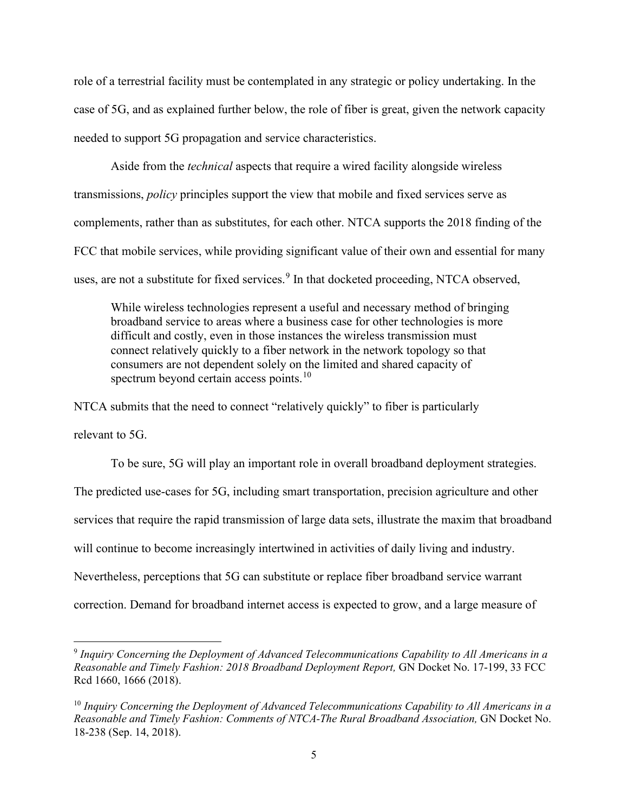role of a terrestrial facility must be contemplated in any strategic or policy undertaking. In the case of 5G, and as explained further below, the role of fiber is great, given the network capacity needed to support 5G propagation and service characteristics.

Aside from the *technical* aspects that require a wired facility alongside wireless transmissions, *policy* principles support the view that mobile and fixed services serve as complements, rather than as substitutes, for each other. NTCA supports the 2018 finding of the FCC that mobile services, while providing significant value of their own and essential for many uses, are not a substitute for fixed services. $9$  In that docketed proceeding, NTCA observed,

While wireless technologies represent a useful and necessary method of bringing broadband service to areas where a business case for other technologies is more difficult and costly, even in those instances the wireless transmission must connect relatively quickly to a fiber network in the network topology so that consumers are not dependent solely on the limited and shared capacity of spectrum beyond certain access points.<sup>[10](#page-4-1)</sup>

NTCA submits that the need to connect "relatively quickly" to fiber is particularly relevant to 5G.

To be sure, 5G will play an important role in overall broadband deployment strategies. The predicted use-cases for 5G, including smart transportation, precision agriculture and other services that require the rapid transmission of large data sets, illustrate the maxim that broadband will continue to become increasingly intertwined in activities of daily living and industry. Nevertheless, perceptions that 5G can substitute or replace fiber broadband service warrant correction. Demand for broadband internet access is expected to grow, and a large measure of

<span id="page-4-0"></span><sup>9</sup> *Inquiry Concerning the Deployment of Advanced Telecommunications Capability to All Americans in a Reasonable and Timely Fashion: 2018 Broadband Deployment Report,* GN Docket No. 17-199, 33 FCC Rcd 1660, 1666 (2018).

<span id="page-4-1"></span><sup>10</sup> *Inquiry Concerning the Deployment of Advanced Telecommunications Capability to All Americans in a Reasonable and Timely Fashion: Comments of NTCA-The Rural Broadband Association,* GN Docket No. 18-238 (Sep. 14, 2018).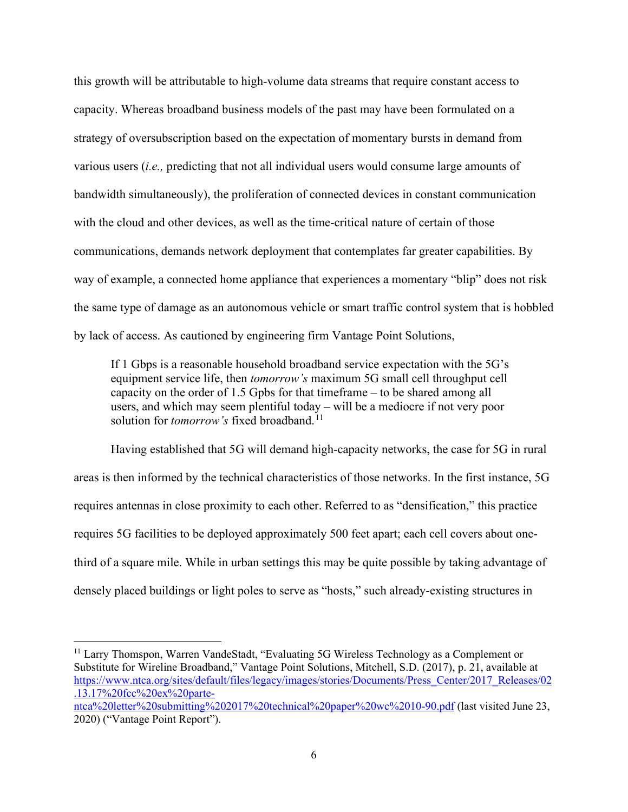this growth will be attributable to high-volume data streams that require constant access to capacity. Whereas broadband business models of the past may have been formulated on a strategy of oversubscription based on the expectation of momentary bursts in demand from various users (*i.e.,* predicting that not all individual users would consume large amounts of bandwidth simultaneously), the proliferation of connected devices in constant communication with the cloud and other devices, as well as the time-critical nature of certain of those communications, demands network deployment that contemplates far greater capabilities. By way of example, a connected home appliance that experiences a momentary "blip" does not risk the same type of damage as an autonomous vehicle or smart traffic control system that is hobbled by lack of access. As cautioned by engineering firm Vantage Point Solutions,

If 1 Gbps is a reasonable household broadband service expectation with the 5G's equipment service life, then *tomorrow's* maximum 5G small cell throughput cell capacity on the order of 1.5 Gpbs for that timeframe – to be shared among all users, and which may seem plentiful today – will be a mediocre if not very poor solution for *tomorrow's* fixed broadband.<sup>[11](#page-5-0)</sup>

Having established that 5G will demand high-capacity networks, the case for 5G in rural areas is then informed by the technical characteristics of those networks. In the first instance, 5G requires antennas in close proximity to each other. Referred to as "densification," this practice requires 5G facilities to be deployed approximately 500 feet apart; each cell covers about onethird of a square mile. While in urban settings this may be quite possible by taking advantage of densely placed buildings or light poles to serve as "hosts," such already-existing structures in

<span id="page-5-0"></span><sup>&</sup>lt;sup>11</sup> Larry Thomspon, Warren VandeStadt, "Evaluating 5G Wireless Technology as a Complement or Substitute for Wireline Broadband," Vantage Point Solutions, Mitchell, S.D. (2017), p. 21, available at [https://www.ntca.org/sites/default/files/legacy/images/stories/Documents/Press\\_Center/2017\\_Releases/02](https://www.ntca.org/sites/default/files/legacy/images/stories/Documents/Press_Center/2017_Releases/02.13.17%20fcc%20ex%20parte-ntca%20letter%20submitting%202017%20technical%20paper%20wc%2010-90.pdf) [.13.17%20fcc%20ex%20parte-](https://www.ntca.org/sites/default/files/legacy/images/stories/Documents/Press_Center/2017_Releases/02.13.17%20fcc%20ex%20parte-ntca%20letter%20submitting%202017%20technical%20paper%20wc%2010-90.pdf)

[ntca%20letter%20submitting%202017%20technical%20paper%20wc%2010-90.pdf](https://www.ntca.org/sites/default/files/legacy/images/stories/Documents/Press_Center/2017_Releases/02.13.17%20fcc%20ex%20parte-ntca%20letter%20submitting%202017%20technical%20paper%20wc%2010-90.pdf) (last visited June 23, 2020) ("Vantage Point Report").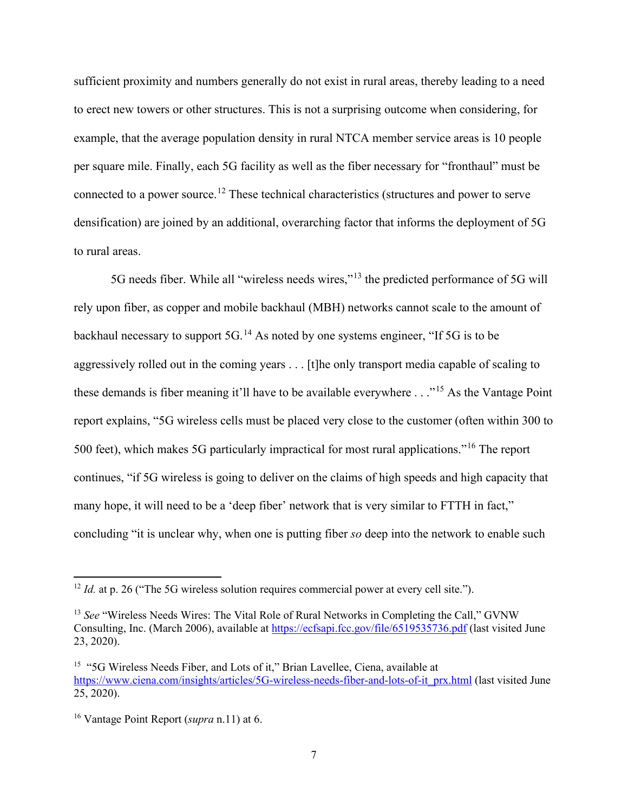sufficient proximity and numbers generally do not exist in rural areas, thereby leading to a need to erect new towers or other structures. This is not a surprising outcome when considering, for example, that the average population density in rural NTCA member service areas is 10 people per square mile. Finally, each 5G facility as well as the fiber necessary for "fronthaul" must be connected to a power source.[12](#page-6-0) These technical characteristics (structures and power to serve densification) are joined by an additional, overarching factor that informs the deployment of 5G to rural areas.

5G needs fiber. While all "wireless needs wires,"<sup>[13](#page-6-1)</sup> the predicted performance of 5G will rely upon fiber, as copper and mobile backhaul (MBH) networks cannot scale to the amount of backhaul necessary to support 5G.[14](#page-6-2) As noted by one systems engineer, "If 5G is to be aggressively rolled out in the coming years . . . [t]he only transport media capable of scaling to these demands is fiber meaning it'll have to be available everywhere  $\ldots$ <sup>[15](#page-6-3)</sup> As the Vantage Point report explains, "5G wireless cells must be placed very close to the customer (often within 300 to 500 feet), which makes 5G particularly impractical for most rural applications."<sup>[16](#page-6-4)</sup> The report continues, "if 5G wireless is going to deliver on the claims of high speeds and high capacity that many hope, it will need to be a 'deep fiber' network that is very similar to FTTH in fact," concluding "it is unclear why, when one is putting fiber *so* deep into the network to enable such

<span id="page-6-0"></span><sup>&</sup>lt;sup>12</sup> *Id.* at p. 26 ("The 5G wireless solution requires commercial power at every cell site.").

<span id="page-6-1"></span><sup>&</sup>lt;sup>13</sup> See "Wireless Needs Wires: The Vital Role of Rural Networks in Completing the Call," GVNW Consulting, Inc. (March 2006), available at<https://ecfsapi.fcc.gov/file/6519535736.pdf> (last visited June 23, 2020).

<span id="page-6-3"></span><span id="page-6-2"></span><sup>&</sup>lt;sup>15</sup> "5G Wireless Needs Fiber, and Lots of it," Brian Lavellee, Ciena, available at [https://www.ciena.com/insights/articles/5G-wireless-needs-fiber-and-lots-of-it\\_prx.html](https://www.ciena.com/insights/articles/5G-wireless-needs-fiber-and-lots-of-it_prx.html) (last visited June 25, 2020).

<span id="page-6-4"></span><sup>16</sup> Vantage Point Report (*supra* n.11) at 6.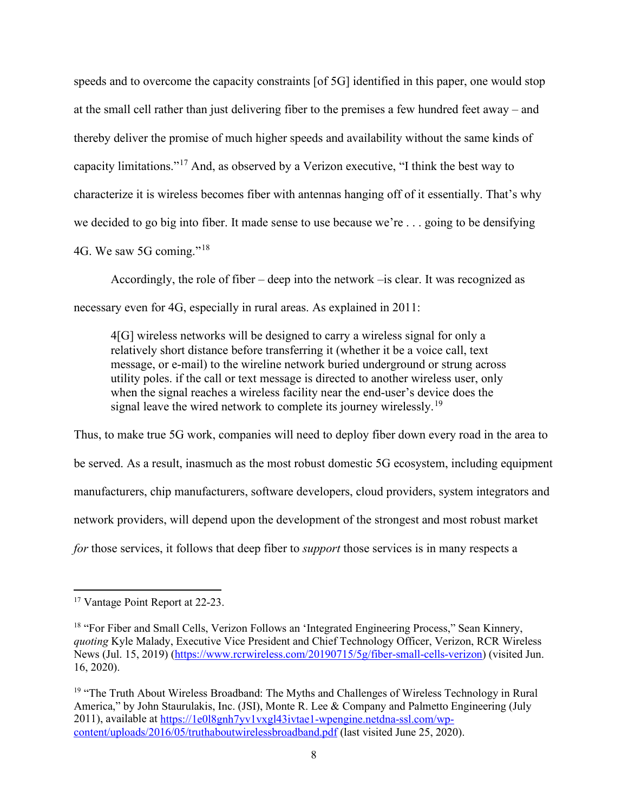speeds and to overcome the capacity constraints [of 5G] identified in this paper, one would stop at the small cell rather than just delivering fiber to the premises a few hundred feet away – and thereby deliver the promise of much higher speeds and availability without the same kinds of capacity limitations."[17](#page-7-0) And, as observed by a Verizon executive, "I think the best way to characterize it is wireless becomes fiber with antennas hanging off of it essentially. That's why we decided to go big into fiber. It made sense to use because we're . . . going to be densifying 4G. We saw 5G coming."[18](#page-7-1)

Accordingly, the role of fiber – deep into the network –is clear. It was recognized as necessary even for 4G, especially in rural areas. As explained in 2011:

4[G] wireless networks will be designed to carry a wireless signal for only a relatively short distance before transferring it (whether it be a voice call, text message, or e-mail) to the wireline network buried underground or strung across utility poles. if the call or text message is directed to another wireless user, only when the signal reaches a wireless facility near the end-user's device does the signal leave the wired network to complete its journey wirelessly.<sup>[19](#page-7-2)</sup>

Thus, to make true 5G work, companies will need to deploy fiber down every road in the area to be served. As a result, inasmuch as the most robust domestic 5G ecosystem, including equipment manufacturers, chip manufacturers, software developers, cloud providers, system integrators and network providers, will depend upon the development of the strongest and most robust market *for* those services, it follows that deep fiber to *support* those services is in many respects a

<span id="page-7-0"></span><sup>17</sup> Vantage Point Report at 22-23.

<span id="page-7-1"></span><sup>&</sup>lt;sup>18</sup> "For Fiber and Small Cells, Verizon Follows an 'Integrated Engineering Process," Sean Kinnery, *quoting* Kyle Malady, Executive Vice President and Chief Technology Officer, Verizon, RCR Wireless News (Jul. 15, 2019) [\(https://www.rcrwireless.com/20190715/5g/fiber-small-cells-verizon\)](https://www.rcrwireless.com/20190715/5g/fiber-small-cells-verizon) (visited Jun. 16, 2020).

<span id="page-7-2"></span><sup>&</sup>lt;sup>19</sup> "The Truth About Wireless Broadband: The Myths and Challenges of Wireless Technology in Rural America," by John Staurulakis, Inc. (JSI), Monte R. Lee & Company and Palmetto Engineering (July 2011), available at [https://1e0l8gnh7yv1vxgl43ivtae1-wpengine.netdna-ssl.com/wp](https://1e0l8gnh7yv1vxgl43ivtae1-wpengine.netdna-ssl.com/wp-content/uploads/2016/05/truthaboutwirelessbroadband.pdf)[content/uploads/2016/05/truthaboutwirelessbroadband.pdf](https://1e0l8gnh7yv1vxgl43ivtae1-wpengine.netdna-ssl.com/wp-content/uploads/2016/05/truthaboutwirelessbroadband.pdf) (last visited June 25, 2020).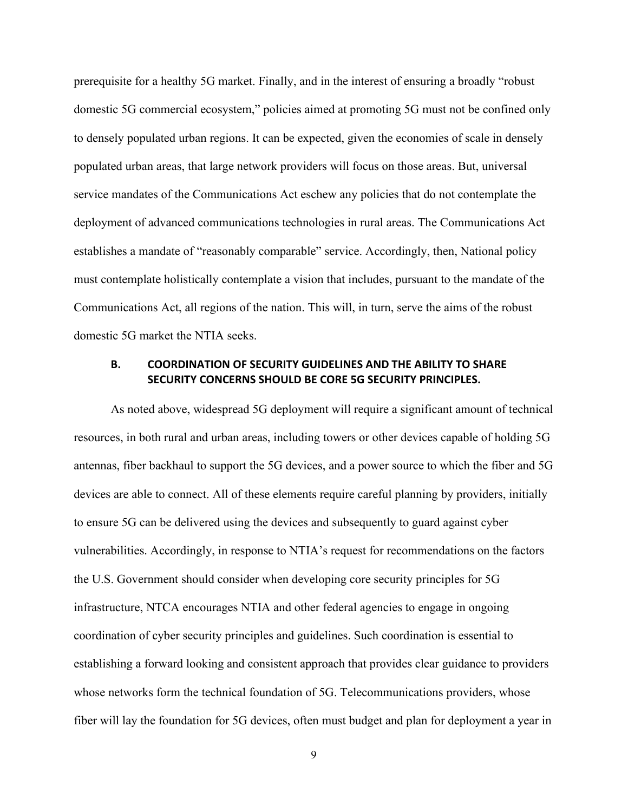prerequisite for a healthy 5G market. Finally, and in the interest of ensuring a broadly "robust domestic 5G commercial ecosystem," policies aimed at promoting 5G must not be confined only to densely populated urban regions. It can be expected, given the economies of scale in densely populated urban areas, that large network providers will focus on those areas. But, universal service mandates of the Communications Act eschew any policies that do not contemplate the deployment of advanced communications technologies in rural areas. The Communications Act establishes a mandate of "reasonably comparable" service. Accordingly, then, National policy must contemplate holistically contemplate a vision that includes, pursuant to the mandate of the Communications Act, all regions of the nation. This will, in turn, serve the aims of the robust domestic 5G market the NTIA seeks.

### **B. COORDINATION OF SECURITY GUIDELINES AND THE ABILITY TO SHARE SECURITY CONCERNS SHOULD BE CORE 5G SECURITY PRINCIPLES.**

As noted above, widespread 5G deployment will require a significant amount of technical resources, in both rural and urban areas, including towers or other devices capable of holding 5G antennas, fiber backhaul to support the 5G devices, and a power source to which the fiber and 5G devices are able to connect. All of these elements require careful planning by providers, initially to ensure 5G can be delivered using the devices and subsequently to guard against cyber vulnerabilities. Accordingly, in response to NTIA's request for recommendations on the factors the U.S. Government should consider when developing core security principles for 5G infrastructure, NTCA encourages NTIA and other federal agencies to engage in ongoing coordination of cyber security principles and guidelines. Such coordination is essential to establishing a forward looking and consistent approach that provides clear guidance to providers whose networks form the technical foundation of 5G. Telecommunications providers, whose fiber will lay the foundation for 5G devices, often must budget and plan for deployment a year in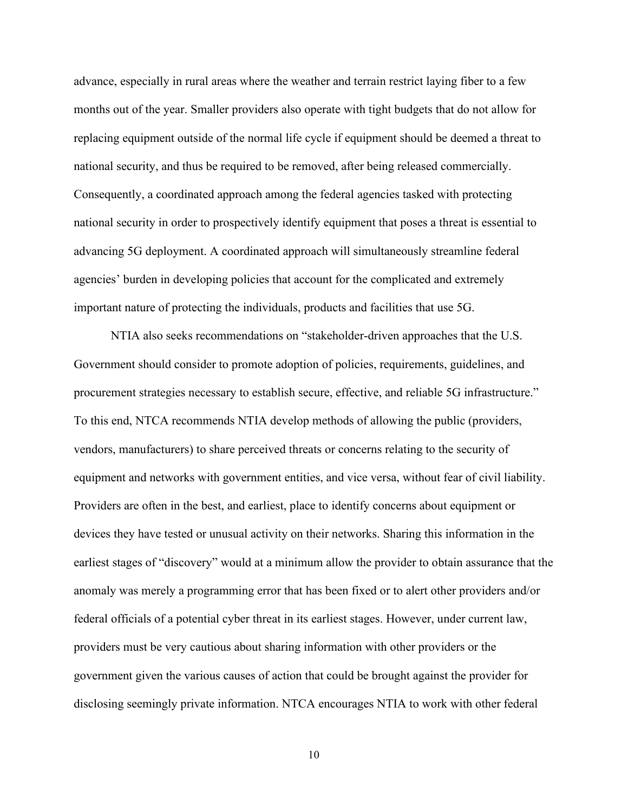advance, especially in rural areas where the weather and terrain restrict laying fiber to a few months out of the year. Smaller providers also operate with tight budgets that do not allow for replacing equipment outside of the normal life cycle if equipment should be deemed a threat to national security, and thus be required to be removed, after being released commercially. Consequently, a coordinated approach among the federal agencies tasked with protecting national security in order to prospectively identify equipment that poses a threat is essential to advancing 5G deployment. A coordinated approach will simultaneously streamline federal agencies' burden in developing policies that account for the complicated and extremely important nature of protecting the individuals, products and facilities that use 5G.

NTIA also seeks recommendations on "stakeholder-driven approaches that the U.S. Government should consider to promote adoption of policies, requirements, guidelines, and procurement strategies necessary to establish secure, effective, and reliable 5G infrastructure." To this end, NTCA recommends NTIA develop methods of allowing the public (providers, vendors, manufacturers) to share perceived threats or concerns relating to the security of equipment and networks with government entities, and vice versa, without fear of civil liability. Providers are often in the best, and earliest, place to identify concerns about equipment or devices they have tested or unusual activity on their networks. Sharing this information in the earliest stages of "discovery" would at a minimum allow the provider to obtain assurance that the anomaly was merely a programming error that has been fixed or to alert other providers and/or federal officials of a potential cyber threat in its earliest stages. However, under current law, providers must be very cautious about sharing information with other providers or the government given the various causes of action that could be brought against the provider for disclosing seemingly private information. NTCA encourages NTIA to work with other federal

10